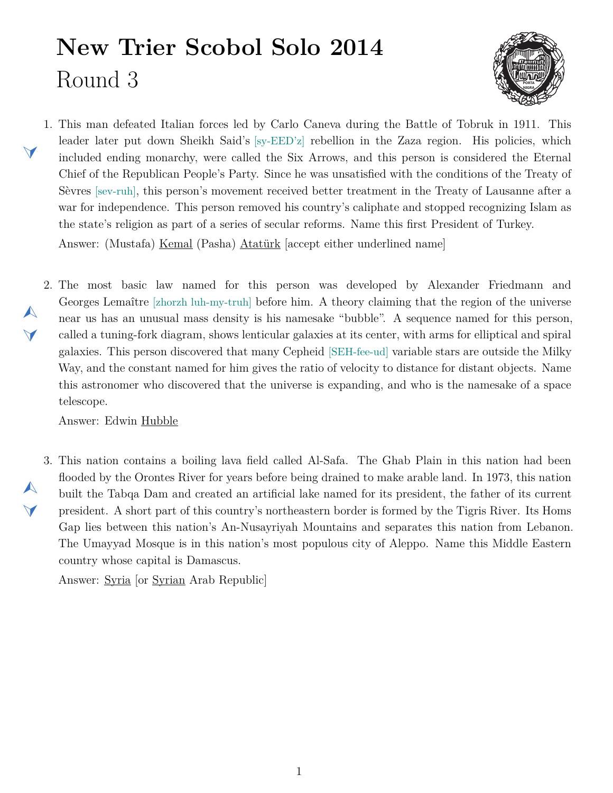## **New Trier Scobol Solo 2014** Round 3



- <span id="page-0-1"></span>1. This man defeated Italian forces led by Carlo Caneva during the Battle of Tobruk in 1911. This leader later put down Sheikh Said's [sy-EED'z] rebellion in the Zaza region. His policies, which included ending monarchy, were called the Six Arrows, and this person is considered the Eternal Chief of the Republican People's Party. Since he was unsatisfied with the conditions of the Treaty of Sèvres [sev-ruh], this person's movement received better treatment in the Treaty of Lausanne after a war for independence. This person removed his country's caliphate and stopped recognizing Islam as the state's religion as part of a series of secular reforms. Name this first President of Turkey. Answer: (Mustafa) Kemal (Pasha) Atatürk [accept either underlined name]
- <span id="page-0-0"></span>2. The most basic law named for this person was developed by Alexander Friedmann and Georges Lemaître [zhorzh luh-my-truh] before him. A theory claiming that the region of the universe near us has an unusual mass density is his namesake "bubble". A sequence named for this person, called a tuning-fork diagram, shows lenticular galaxies at its center, with arms for elliptical and spiral galaxies. This person discovered that many Cepheid [SEH-fee-ud] variable stars are outside the Milky Way, and the constant named for him gives the ratio of velocity to distance for distant objects. Name this astronomer who discovered that the universe is expanding, and who is the namesake of a space telescope.

Answer: Edwin Hubble

 $\blacktriangleleft$ 

 $\blacktriangle$ 

 $\blacktriangledown$ 

 $\blacktriangle$ 

 $\blacktriangledown$ 

<span id="page-0-2"></span>3. This nation contains a boiling lava field called Al-Safa. The Ghab Plain in this nation had been flooded by the Orontes River for years before being drained to make arable land. In 1973, this nation built the Tabqa Dam and created an artificial lake named for its president, the father of its current president. A short part of this country's northeastern border is formed by the Tigris River. Its Homs Gap lies between this nation's An-Nusayriyah Mountains and separates this nation from Lebanon. The Umayyad Mosque is in this nation's most populous city of Aleppo. Name this Middle Eastern country whose capital is Damascus.

Answer: Syria [or Syrian Arab Republic]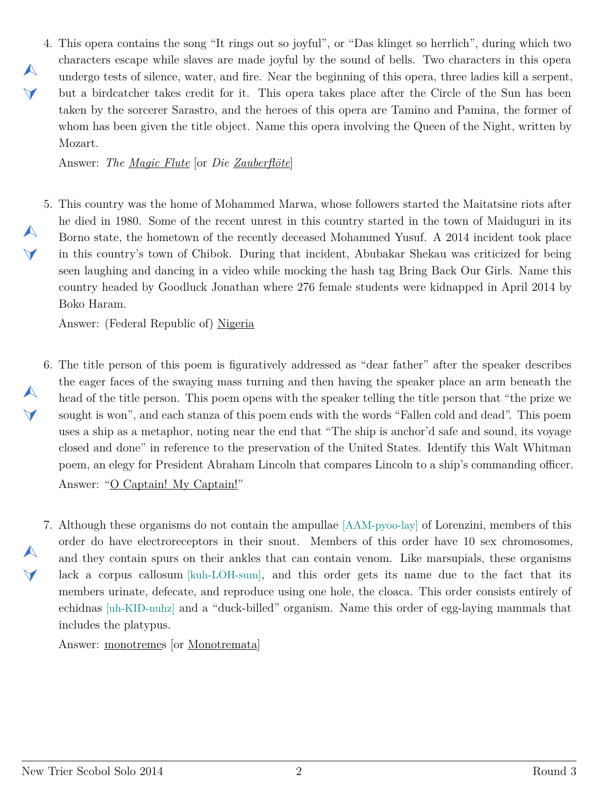<span id="page-1-0"></span>4. This opera contains the song "It rings out so joyful", or "Das klinget so herrlich", during which two characters escape while slaves are made joyful by the sound of bells. Two characters in this opera undergo tests of silence, water, and fire. Near the beginning of this opera, three ladies kill a serpent, but a birdcatcher takes credit for it. This opera takes place after the Circle of the Sun has been taken by the sorcerer Sarastro, and the heroes of this opera are Tamino and Pamina, the former of whom has been given the title object. Name this opera involving the Queen of the Night, written by Mozart.

Answer: *The Magic Flute* [or *Die Zauberflöte*]

 $\blacktriangle$ 

 $\blacktriangleleft$ 

 $\blacktriangle$ 

 $\blacktriangleleft$ 

 $\blacktriangle$ 

 $\blacktriangledown$ 

 $\blacktriangle$ 

 $\blacktriangledown$ 

<span id="page-1-1"></span>5. This country was the home of Mohammed Marwa, whose followers started the Maitatsine riots after he died in 1980. Some of the recent unrest in this country started in the town of Maiduguri in its Borno state, the hometown of the recently deceased Mohammed Yusuf. A 2014 incident took place in this country's town of Chibok. During that incident, Abubakar Shekau was criticized for being seen laughing and dancing in a video while mocking the hash tag Bring Back Our Girls. Name this country headed by Goodluck Jonathan where 276 female students were kidnapped in April 2014 by Boko Haram.

Answer: (Federal Republic of) Nigeria

- <span id="page-1-2"></span>6. The title person of this poem is figuratively addressed as "dear father" after the speaker describes the eager faces of the swaying mass turning and then having the speaker place an arm beneath the head of the title person. This poem opens with the speaker telling the title person that "the prize we sought is won", and each stanza of this poem ends with the words "Fallen cold and dead". This poem uses a ship as a metaphor, noting near the end that "The ship is anchor'd safe and sound, its voyage closed and done" in reference to the preservation of the United States. Identify this Walt Whitman poem, an elegy for President Abraham Lincoln that compares Lincoln to a ship's commanding officer. Answer: "O Captain! My Captain!"
- <span id="page-1-3"></span>7. Although these organisms do not contain the ampullae [AAM-pyoo-lay] of Lorenzini, members of this order do have electroreceptors in their snout. Members of this order have 10 sex chromosomes, and they contain spurs on their ankles that can contain venom. Like marsupials, these organisms lack a corpus callosum [kuh-LOH-sum], and this order gets its name due to the fact that its members urinate, defecate, and reproduce using one hole, the cloaca. This order consists entirely of echidnas [uh-KID-nuhz] and a "duck-billed" organism. Name this order of egg-laying mammals that includes the platypus.

Answer: monotremes [or Monotremata]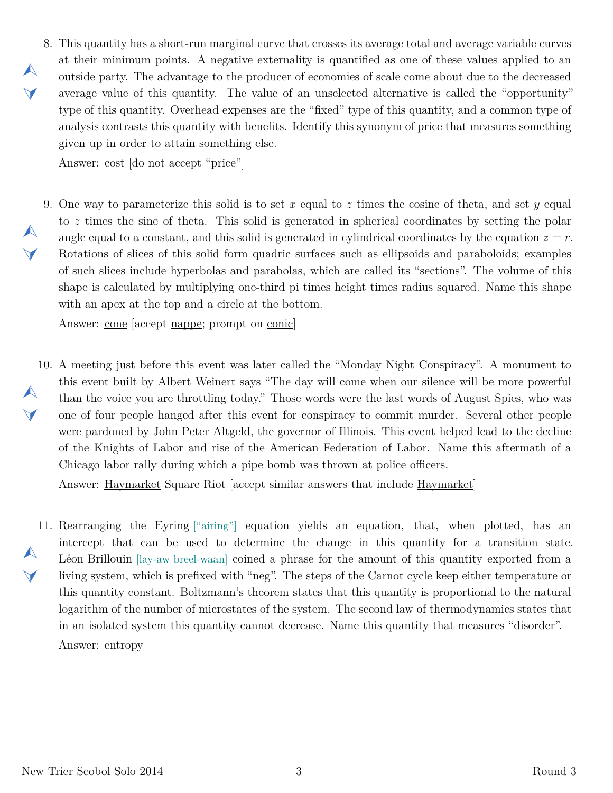<span id="page-2-0"></span>8. This quantity has a short-run marginal curve that crosses its average total and average variable curves at their minimum points. A negative externality is quantified as one of these values applied to an outside party. The advantage to the producer of economies of scale come about due to the decreased average value of this quantity. The value of an unselected alternative is called the "opportunity" type of this quantity. Overhead expenses are the "fixed" type of this quantity, and a common type of analysis contrasts this quantity with benefits. Identify this synonym of price that measures something given up in order to attain something else.

Answer: cost [do not accept "price"]

 $\blacktriangle$ 

 $\blacktriangledown$ 

 $\blacktriangle$ 

 $\vee$ 

<span id="page-2-1"></span>9. One way to parameterize this solid is to set *x* equal to *z* times the cosine of theta, and set *y* equal to *z* times the sine of theta. This solid is generated in spherical coordinates by setting the polar angle equal to a constant, and this solid is generated in cylindrical coordinates by the equation  $z = r$ . Rotations of slices of this solid form quadric surfaces such as ellipsoids and paraboloids; examples of such slices include hyperbolas and parabolas, which are called its "sections". The volume of this shape is calculated by multiplying one-third pi times height times radius squared. Name this shape with an apex at the top and a circle at the bottom.

Answer: cone [accept nappe; prompt on conic]

<span id="page-2-2"></span>10. A meeting just before this event was later called the "Monday Night Conspiracy". A monument to  $\blacktriangle$  $\vee$ this event built by Albert Weinert says "The day will come when our silence will be more powerful than the voice you are throttling today." Those words were the last words of August Spies, who was one of four people hanged after this event for conspiracy to commit murder. Several other people were pardoned by John Peter Altgeld, the governor of Illinois. This event helped lead to the decline of the Knights of Labor and rise of the American Federation of Labor. Name this aftermath of a Chicago labor rally during which a pipe bomb was thrown at police officers.

Answer: Haymarket Square Riot [accept similar answers that include Haymarket]

<span id="page-2-3"></span>11. Rearranging the Eyring ["airing"] equation yields an equation, that, when plotted, has an  $\blacktriangle$  $\vee$ intercept that can be used to determine the change in this quantity for a transition state. Léon Brillouin [lay-aw breel-waan] coined a phrase for the amount of this quantity exported from a living system, which is prefixed with "neg". The steps of the Carnot cycle keep either temperature or this quantity constant. Boltzmann's theorem states that this quantity is proportional to the natural logarithm of the number of microstates of the system. The second law of thermodynamics states that in an isolated system this quantity cannot decrease. Name this quantity that measures "disorder". Answer: entropy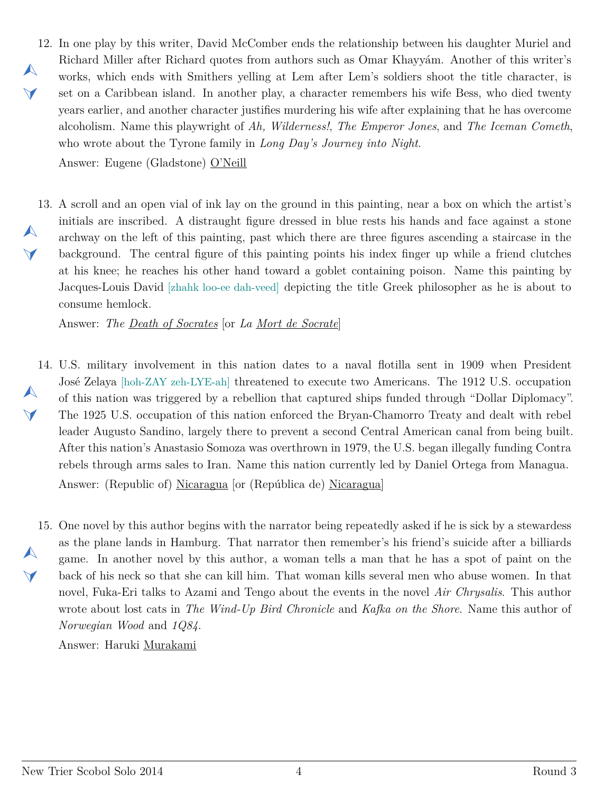<span id="page-3-0"></span>12. In one play by this writer, David McComber ends the relationship between his daughter Muriel and  $\blacktriangle$  $\vee$ Richard Miller after Richard quotes from authors such as Omar Khayyám. Another of this writer's works, which ends with Smithers yelling at Lem after Lem's soldiers shoot the title character, is set on a Caribbean island. In another play, a character remembers his wife Bess, who died twenty years earlier, and another character justifies murdering his wife after explaining that he has overcome alcoholism. Name this playwright of *Ah, Wilderness!*, *The Emperor Jones*, and *The Iceman Cometh*, who wrote about the Tyrone family in *Long Day's Journey into Night*.

Answer: Eugene (Gladstone) O'Neill

<span id="page-3-1"></span>13. A scroll and an open vial of ink lay on the ground in this painting, near a box on which the artist's  $\blacktriangle$  $\blacktriangleleft$ initials are inscribed. A distraught figure dressed in blue rests his hands and face against a stone archway on the left of this painting, past which there are three figures ascending a staircase in the background. The central figure of this painting points his index finger up while a friend clutches at his knee; he reaches his other hand toward a goblet containing poison. Name this painting by Jacques-Louis David [zhahk loo-ee dah-veed] depicting the title Greek philosopher as he is about to consume hemlock.

Answer: *The Death of Socrates* [or *La Mort de Socrate*]

<span id="page-3-2"></span>14. U.S. military involvement in this nation dates to a naval flotilla sent in 1909 when President  $\blacktriangle$  $\blacktriangledown$ José Zelaya [hoh-ZAY zeh-LYE-ah] threatened to execute two Americans. The 1912 U.S. occupation of this nation was triggered by a rebellion that captured ships funded through "Dollar Diplomacy". The 1925 U.S. occupation of this nation enforced the Bryan-Chamorro Treaty and dealt with rebel leader Augusto Sandino, largely there to prevent a second Central American canal from being built. After this nation's Anastasio Somoza was overthrown in 1979, the U.S. began illegally funding Contra rebels through arms sales to Iran. Name this nation currently led by Daniel Ortega from Managua. Answer: (Republic of) Nicaragua [or (República de) Nicaragua]

<span id="page-3-3"></span>15. One novel by this author begins with the narrator being repeatedly asked if he is sick by a stewardess  $\blacktriangle$  $\blacktriangledown$ as the plane lands in Hamburg. That narrator then remember's his friend's suicide after a billiards game. In another novel by this author, a woman tells a man that he has a spot of paint on the back of his neck so that she can kill him. That woman kills several men who abuse women. In that novel, Fuka-Eri talks to Azami and Tengo about the events in the novel *Air Chrysalis*. This author wrote about lost cats in *The Wind-Up Bird Chronicle* and *Kafka on the Shore*. Name this author of *Norwegian Wood* and *1Q84*.

Answer: Haruki Murakami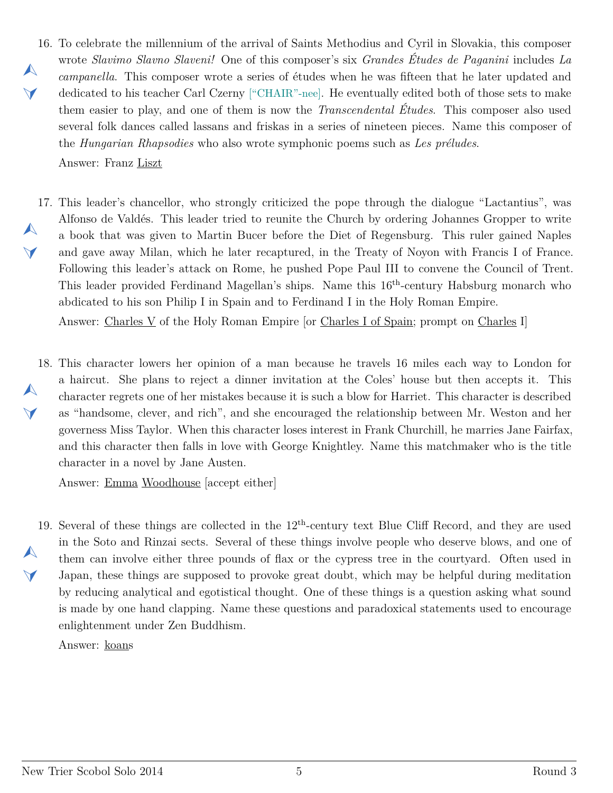- <span id="page-4-0"></span>16. To celebrate the millennium of the arrival of Saints Methodius and Cyril in Slovakia, this composer  $\blacktriangle$  $\vee$ wrote *Slavimo Slavno Slaveni!* One of this composer's six *Grandes Études de Paganini* includes *La campanella*. This composer wrote a series of études when he was fifteen that he later updated and dedicated to his teacher Carl Czerny ["CHAIR"-nee]. He eventually edited both of those sets to make them easier to play, and one of them is now the *Transcendental Études*. This composer also used several folk dances called lassans and friskas in a series of nineteen pieces. Name this composer of the *Hungarian Rhapsodies* who also wrote symphonic poems such as *Les préludes*. Answer: Franz Liszt
- <span id="page-4-1"></span>17. This leader's chancellor, who strongly criticized the pope through the dialogue "Lactantius", was  $\blacktriangle$  $\blacktriangledown$ Alfonso de Valdés. This leader tried to reunite the Church by ordering Johannes Gropper to write a book that was given to Martin Bucer before the Diet of Regensburg. This ruler gained Naples and gave away Milan, which he later recaptured, in the Treaty of Noyon with Francis I of France. Following this leader's attack on Rome, he pushed Pope Paul III to convene the Council of Trent. This leader provided Ferdinand Magellan's ships. Name this 16<sup>th</sup>-century Habsburg monarch who abdicated to his son Philip I in Spain and to Ferdinand I in the Holy Roman Empire.

Answer: Charles V of the Holy Roman Empire [or Charles I of Spain; prompt on Charles I]

<span id="page-4-2"></span>18. This character lowers her opinion of a man because he travels 16 miles each way to London for a haircut. She plans to reject a dinner invitation at the Coles' house but then accepts it. This character regrets one of her mistakes because it is such a blow for Harriet. This character is described as "handsome, clever, and rich", and she encouraged the relationship between Mr. Weston and her governess Miss Taylor. When this character loses interest in Frank Churchill, he marries Jane Fairfax, and this character then falls in love with George Knightley. Name this matchmaker who is the title character in a novel by Jane Austen.

Answer: Emma Woodhouse [accept either]

<span id="page-4-3"></span>19. Several of these things are collected in the 12<sup>th</sup>-century text Blue Cliff Record, and they are used  $\blacktriangle$  $\Delta$ in the Soto and Rinzai sects. Several of these things involve people who deserve blows, and one of them can involve either three pounds of flax or the cypress tree in the courtyard. Often used in Japan, these things are supposed to provoke great doubt, which may be helpful during meditation by reducing analytical and egotistical thought. One of these things is a question asking what sound is made by one hand clapping. Name these questions and paradoxical statements used to encourage enlightenment under Zen Buddhism.

Answer: koans

 $\blacktriangle$ 

 $\blacktriangledown$